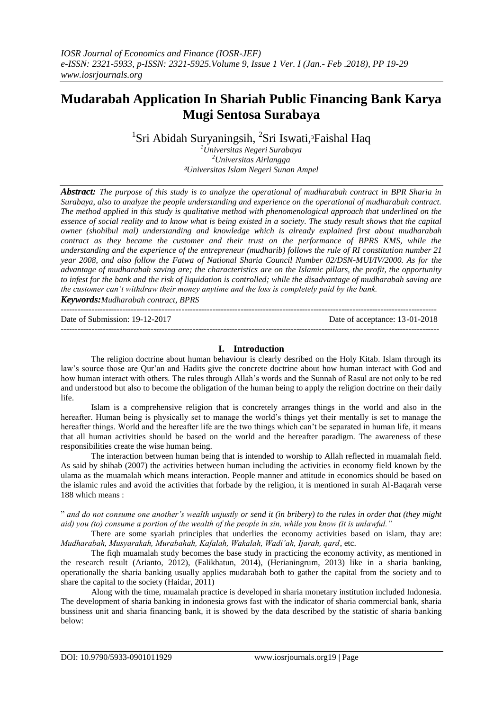# **Mudarabah Application In Shariah Public Financing Bank Karya Mugi Sentosa Surabaya**

<sup>1</sup>Sri Abidah Suryaningsih, <sup>2</sup>Sri Iswati,<sup>3</sup>Faishal Haq

*<sup>1</sup>Universitas Negeri Surabaya <sup>2</sup>Universitas Airlangga ³Universitas Islam Negeri Sunan Ampel*

*Abstract: The purpose of this study is to analyze the operational of mudharabah contract in BPR Sharia in Surabaya, also to analyze the people understanding and experience on the operational of mudharabah contract. The method applied in this study is qualitative method with phenomenological approach that underlined on the essence of social reality and to know what is being existed in a society. The study result shows that the capital owner (shohibul mal) understanding and knowledge which is already explained first about mudharabah contract as they became the customer and their trust on the performance of BPRS KMS, while the understanding and the experience of the entrepreneur (mudharib) follows the rule of RI constitution number 21 year 2008, and also follow the Fatwa of National Sharia Council Number 02/DSN-MUI/IV/2000. As for the advantage of mudharabah saving are; the characteristics are on the Islamic pillars, the profit, the opportunity to infest for the bank and the risk of liquidation is controlled; while the disadvantage of mudharabah saving are the customer can"t withdraw their money anytime and the loss is completely paid by the bank. Keywords:Mudharabah contract, BPRS*

--------------------------------------------------------------------------------------------------------------------------------------

Date of Submission: 19-12-2017 Date of acceptance: 13-01-2018

#### ---------------------------------------------------------------------------------------------------------------------------------------

## **I. Introduction**

The religion doctrine about human behaviour is clearly desribed on the Holy Kitab. Islam through its law's source those are Qur'an and Hadits give the concrete doctrine about how human interact with God and how human interact with others. The rules through Allah's words and the Sunnah of Rasul are not only to be red and understood but also to become the obligation of the human being to apply the religion doctrine on their daily life.

Islam is a comprehensive religion that is concretely arranges things in the world and also in the hereafter. Human being is physically set to manage the world's things yet their mentally is set to manage the hereafter things. World and the hereafter life are the two things which can't be separated in human life, it means that all human activities should be based on the world and the hereafter paradigm. The awareness of these responsibilities create the wise human being.

The interaction between human being that is intended to worship to Allah reflected in muamalah field. As said by shihab (2007) the activities between human including the activities in economy field known by the ulama as the muamalah which means interaction. People manner and attitude in economics should be based on the islamic rules and avoid the activities that forbade by the religion, it is mentioned in surah Al-Baqarah verse 188 which means :

" *and do not consume one another"s wealth unjustly or send it (in bribery) to the rules in order that (they might aid) you (to) consume a portion of the wealth of the people in sin, while you know (it is unlawful."*

There are some syariah principles that underlies the economy activities based on islam, thay are: *Mudharabah, Musyarakah, Murabahah, Kafalah, Wakalah, Wadi"ah, Ijarah, qard*, etc.

The fiqh muamalah study becomes the base study in practicing the economy activity, as mentioned in the research result (Arianto, 2012), (Falikhatun, 2014), (Herianingrum, 2013) like in a sharia banking, operationally the sharia banking usually applies mudarabah both to gather the capital from the society and to share the capital to the society (Haidar, 2011)

Along with the time, muamalah practice is developed in sharia monetary institution included Indonesia. The development of sharia banking in indonesia grows fast with the indicator of sharia commercial bank, sharia bussiness unit and sharia financing bank, it is showed by the data described by the statistic of sharia banking below: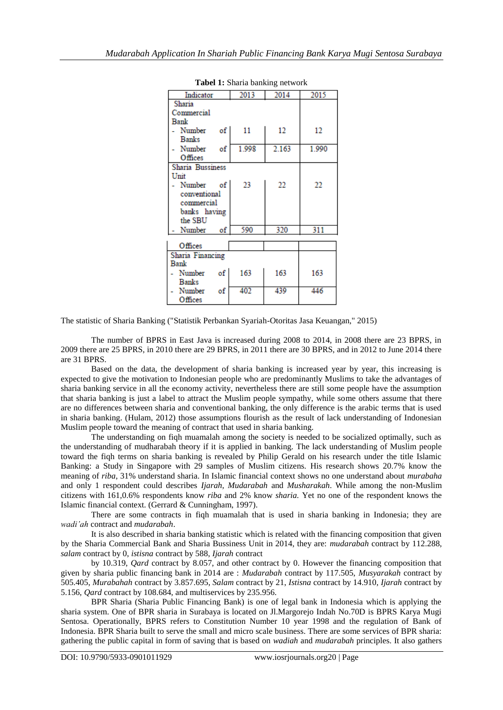| <b>LAUCI 1.</b> DHAHA DAHKHIG HUUWULK |       |       |       |  |
|---------------------------------------|-------|-------|-------|--|
| Indicator                             | 2013  | 2014  | 2015  |  |
| Sharia                                |       |       |       |  |
| Commercial                            |       |       |       |  |
| Bank                                  |       |       |       |  |
| Number of                             | 11    | 12    | 12    |  |
| <b>Banks</b>                          |       |       |       |  |
| Number of                             | 1.998 | 2.163 | 1.990 |  |
| Offices                               |       |       |       |  |
| Sharia Bussiness                      |       |       |       |  |
| Unit                                  |       |       |       |  |
| Number of                             | 23    | 22    | 22    |  |
| conventional                          |       |       |       |  |
| commercial                            |       |       |       |  |
| banks having                          |       |       |       |  |
| the SBU                               |       |       |       |  |
| Number of                             | 590   | 320   | 311   |  |
|                                       |       |       |       |  |
| Offices                               |       |       |       |  |
| Sharia Financing                      |       |       |       |  |
| Bank                                  |       |       |       |  |
| Number of                             | 163   | 163   | 163   |  |
| <b>Banks</b>                          |       |       |       |  |
| Number<br>$\circ$ f                   | 402   | 439   | 446   |  |
| Offices                               |       |       |       |  |

**Tabel 1:** Sharia banking network

The statistic of Sharia Banking ("Statistik Perbankan Syariah-Otoritas Jasa Keuangan," 2015)

The number of BPRS in East Java is increased during 2008 to 2014, in 2008 there are 23 BPRS, in 2009 there are 25 BPRS, in 2010 there are 29 BPRS, in 2011 there are 30 BPRS, and in 2012 to June 2014 there are 31 BPRS.

Based on the data, the development of sharia banking is increased year by year, this increasing is expected to give the motivation to Indonesian people who are predominantly Muslims to take the advantages of sharia banking service in all the economy activity, nevertheless there are still some people have the assumption that sharia banking is just a label to attract the Muslim people sympathy, while some others assume that there are no differences between sharia and conventional banking, the only difference is the arabic terms that is used in sharia banking. (Hulam, 2012) those assumptions flourish as the result of lack understanding of Indonesian Muslim people toward the meaning of contract that used in sharia banking.

The understanding on fiqh muamalah among the society is needed to be socialized optimally, such as the understanding of mudharabah theory if it is applied in banking. The lack understanding of Muslim people toward the fiqh terms on sharia banking is revealed by Philip Gerald on his research under the title Islamic Banking: a Study in Singapore with 29 samples of Muslim citizens. His research shows 20.7% know the meaning of *riba*, 31% understand sharia. In Islamic financial context shows no one understand about *murabaha*  and only 1 respondent could describes *Ijarah, Mudarabah* and *Musharakah*. While among the non-Muslim citizens with 161,0.6% respondents know *riba* and 2% know *sharia.* Yet no one of the respondent knows the Islamic financial context. (Gerrard & Cunningham, 1997).

There are some contracts in fiqh muamalah that is used in sharia banking in Indonesia; they are *wadi"ah* contract and *mudarabah*.

It is also described in sharia banking statistic which is related with the financing composition that given by the Sharia Commercial Bank and Sharia Bussiness Unit in 2014, they are: *mudarabah* contract by 112.288, *salam* contract by 0, *istisna* contract by 588, *Ijarah* contract

by 10.319, *Qard* contract by 8.057, and other contract by 0. However the financing composition that given by sharia public financing bank in 2014 are : *Mudarabah* contract by 117.505, *Musyarakah* contract by 505.405, *Murabahah* contract by 3.857.695, *Salam* contract by 21, *Istisna* contract by 14.910, *Ijarah* contract by 5.156, *Qard* contract by 108.684, and multiservices by 235.956.

BPR Sharia (Sharia Public Financing Bank) is one of legal bank in Indonesia which is applying the sharia system. One of BPR sharia in Surabaya is located on Jl.Margorejo Indah No.70D is BPRS Karya Mugi Sentosa. Operationally, BPRS refers to Constitution Number 10 year 1998 and the regulation of Bank of Indonesia. BPR Sharia built to serve the small and micro scale business. There are some services of BPR sharia: gathering the public capital in form of saving that is based on *wadiah* and *mudarabah* principles. It also gathers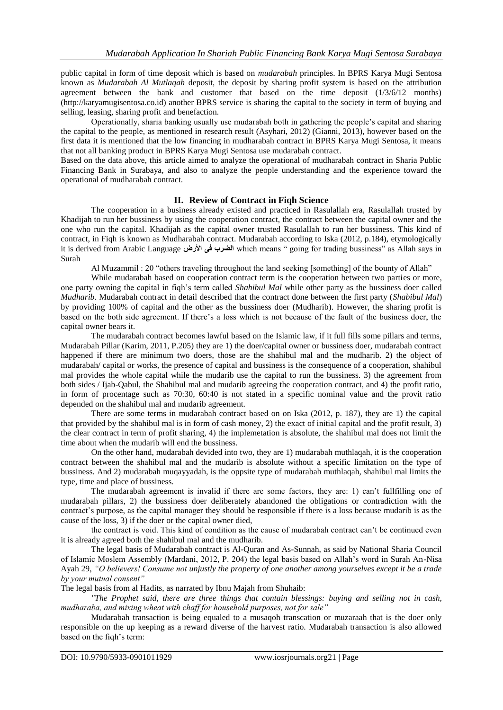public capital in form of time deposit which is based on *mudarabah* principles. In BPRS Karya Mugi Sentosa known as *Mudarabah Al Mutlaqah* deposit, the deposit by sharing profit system is based on the attribution agreement between the bank and customer that based on the time deposit (1/3/6/12 months) (http://karyamugisentosa.co.id) another BPRS service is sharing the capital to the society in term of buying and selling, leasing, sharing profit and benefaction.

Operationally, sharia banking usually use mudarabah both in gathering the people's capital and sharing the capital to the people, as mentioned in research result (Asyhari, 2012) (Gianni, 2013), however based on the first data it is mentioned that the low financing in mudharabah contract in BPRS Karya Mugi Sentosa, it means that not all banking product in BPRS Karya Mugi Sentosa use mudarabah contract.

Based on the data above, this article aimed to analyze the operational of mudharabah contract in Sharia Public Financing Bank in Surabaya, and also to analyze the people understanding and the experience toward the operational of mudharabah contract.

## **II. Review of Contract in Fiqh Science**

The cooperation in a business already existed and practiced in Rasulallah era, Rasulallah trusted by Khadijah to run her bussiness by using the cooperation contract, the contract between the capital owner and the one who run the capital. Khadijah as the capital owner trusted Rasulallah to run her bussiness. This kind of contract, in Fiqh is known as Mudharabah contract. Mudarabah according to Iska (2012, p.184), etymologically it is derived from Arabic Language **األرض فى الضرب** which means " going for trading bussiness" as Allah says in Surah

Al Muzammil : 20 "others traveling throughout the land seeking [something] of the bounty of Allah"

While mudarabah based on cooperation contract term is the cooperation between two parties or more, one party owning the capital in fiqh's term called *Shahibul Mal* while other party as the bussiness doer called *Mudharib*. Mudarabah contract in detail described that the contract done between the first party (*Shabibul Mal*) by providing 100% of capital and the other as the bussiness doer (Mudharib). However, the sharing profit is based on the both side agreement. If there's a loss which is not because of the fault of the business doer, the capital owner bears it.

The mudarabah contract becomes lawful based on the Islamic law, if it full fills some pillars and terms, Mudarabah Pillar (Karim, 2011, P.205) they are 1) the doer/capital owner or bussiness doer, mudarabah contract happened if there are minimum two doers, those are the shahibul mal and the mudharib. 2) the object of mudarabah/ capital or works, the presence of capital and bussiness is the consequence of a cooperation, shahibul mal provides the whole capital while the mudarib use the capital to run the bussiness. 3) the agreement from both sides / Ijab-Qabul, the Shahibul mal and mudarib agreeing the cooperation contract, and 4) the profit ratio, in form of procentage such as 70:30, 60:40 is not stated in a specific nominal value and the provit ratio depended on the shahibul mal and mudarib agreement.

There are some terms in mudarabah contract based on on Iska (2012, p. 187), they are 1) the capital that provided by the shahibul mal is in form of cash money, 2) the exact of initial capital and the profit result, 3) the clear contract in term of profit sharing, 4) the implemetation is absolute, the shahibul mal does not limit the time about when the mudarib will end the bussiness.

On the other hand, mudarabah devided into two, they are 1) mudarabah muthlaqah, it is the cooperation contract between the shahibul mal and the mudarib is absolute without a specific limitation on the type of bussiness. And 2) mudarabah muqayyadah, is the oppsite type of mudarabah muthlaqah, shahibul mal limits the type, time and place of bussiness.

The mudarabah agreement is invalid if there are some factors, they are: 1) can't fullfilling one of mudarabah pillars, 2) the bussiness doer deliberately abandoned the obligations or contradiction with the contract's purpose, as the capital manager they should be responsible if there is a loss because mudarib is as the cause of the loss, 3) if the doer or the capital owner died,

the contract is void. This kind of condition as the cause of mudarabah contract can't be continued even it is already agreed both the shahibul mal and the mudharib.

The legal basis of Mudarabah contract is Al-Quran and As-Sunnah, as said by National Sharia Council of Islamic Moslem Assembly (Mardani, 2012, P. 204) the legal basis based on Allah's word in Surah An-Nisa Ayah 29, *"O believers! Consume not unjustly the property of one another among yourselves except it be a trade by your mutual consent"*

The legal basis from al Hadits, as narrated by Ibnu Majah from Shuhaib:

*"The Prophet said, there are three things that contain blessings: buying and selling not in cash, mudharaba, and mixing wheat with chaff for household purposes, not for sale"*

Mudarabah transaction is being equaled to a musaqoh transcation or muzaraah that is the doer only responsible on the up keeping as a reward diverse of the harvest ratio. Mudarabah transaction is also allowed based on the fiqh's term: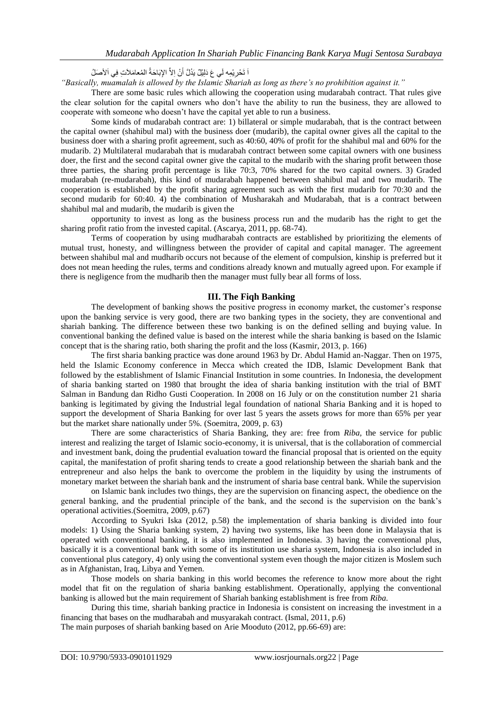اَ تَحْرِ يْمِه لَي عَ دَلِيْلٌ يَدُلَّ أَنْ اِلاَّ الإِبَاحَةُ الْمُعامَلاَتِ فِي اَلأَصَلُ َا

*"Basically, muamalah is allowed by the Islamic Shariah as long as there"s no prohibition against it."*

There are some basic rules which allowing the cooperation using mudarabah contract. That rules give the clear solution for the capital owners who don't have the ability to run the business, they are allowed to cooperate with someone who doesn't have the capital yet able to run a business.

Some kinds of mudarabah contract are: 1) billateral or simple mudarabah, that is the contract between the capital owner (shahibul mal) with the business doer (mudarib), the capital owner gives all the capital to the business doer with a sharing profit agreement, such as 40:60, 40% of profit for the shahibul mal and 60% for the mudarib. 2) Multilateral mudarabah that is mudarabah contract between some capital owners with one business doer, the first and the second capital owner give the capital to the mudarib with the sharing profit between those three parties, the sharing profit percentage is like 70:3, 70% shared for the two capital owners. 3) Graded mudarabah (re-mudarabah), this kind of mudarabah happened between shahibul mal and two mudarib. The cooperation is established by the profit sharing agreement such as with the first mudarib for 70:30 and the second mudarib for 60:40. 4) the combination of Musharakah and Mudarabah, that is a contract between shahibul mal and mudarib, the mudarib is given the

opportunity to invest as long as the business process run and the mudarib has the right to get the sharing profit ratio from the invested capital. (Ascarya, 2011, pp. 68-74).

Terms of cooperation by using mudharabah contracts are established by prioritizing the elements of mutual trust, honesty, and willingness between the provider of capital and capital manager. The agreement between shahibul mal and mudharib occurs not because of the element of compulsion, kinship is preferred but it does not mean heeding the rules, terms and conditions already known and mutually agreed upon. For example if there is negligence from the mudharib then the manager must fully bear all forms of loss.

## **III. The Fiqh Banking**

The development of banking shows the positive progress in economy market, the customer's response upon the banking service is very good, there are two banking types in the society, they are conventional and shariah banking. The difference between these two banking is on the defined selling and buying value. In conventional banking the defined value is based on the interest while the sharia banking is based on the Islamic concept that is the sharing ratio, both sharing the profit and the loss (Kasmir, 2013, p. 166)

The first sharia banking practice was done around 1963 by Dr. Abdul Hamid an-Naggar. Then on 1975, held the Islamic Economy conference in Mecca which created the IDB, Islamic Development Bank that followed by the establishment of Islamic Financial Institution in some countries. In Indonesia, the development of sharia banking started on 1980 that brought the idea of sharia banking institution with the trial of BMT Salman in Bandung dan Ridho Gusti Cooperation. In 2008 on 16 July or on the constitution number 21 sharia banking is legitimated by giving the Industrial legal foundation of national Sharia Banking and it is hoped to support the development of Sharia Banking for over last 5 years the assets grows for more than 65% per year but the market share nationally under 5%. (Soemitra, 2009, p. 63)

There are some characteristics of Sharia Banking, they are: free from *Riba,* the service for public interest and realizing the target of Islamic socio-economy, it is universal, that is the collaboration of commercial and investment bank, doing the prudential evaluation toward the financial proposal that is oriented on the equity capital, the manifestation of profit sharing tends to create a good relationship between the shariah bank and the entrepreneur and also helps the bank to overcome the problem in the liquidity by using the instruments of monetary market between the shariah bank and the instrument of sharia base central bank. While the supervision

on Islamic bank includes two things, they are the supervision on financing aspect, the obedience on the general banking, and the prudential principle of the bank, and the second is the supervision on the bank's operational activities.(Soemitra, 2009, p.67)

According to Syukri Iska (2012, p.58) the implementation of sharia banking is divided into four models: 1) Using the Sharia banking system, 2) having two systems, like has been done in Malaysia that is operated with conventional banking, it is also implemented in Indonesia. 3) having the conventional plus, basically it is a conventional bank with some of its institution use sharia system, Indonesia is also included in conventional plus category, 4) only using the conventional system even though the major citizen is Moslem such as in Afghanistan, Iraq, Libya and Yemen.

Those models on sharia banking in this world becomes the reference to know more about the right model that fit on the regulation of sharia banking establishment. Operationally, applying the conventional banking is allowed but the main requirement of Shariah banking establishment is free from *Riba.*

During this time, shariah banking practice in Indonesia is consistent on increasing the investment in a financing that bases on the mudharabah and musyarakah contract. (Ismal, 2011, p.6)

The main purposes of shariah banking based on Arie Mooduto (2012, pp.66-69) are: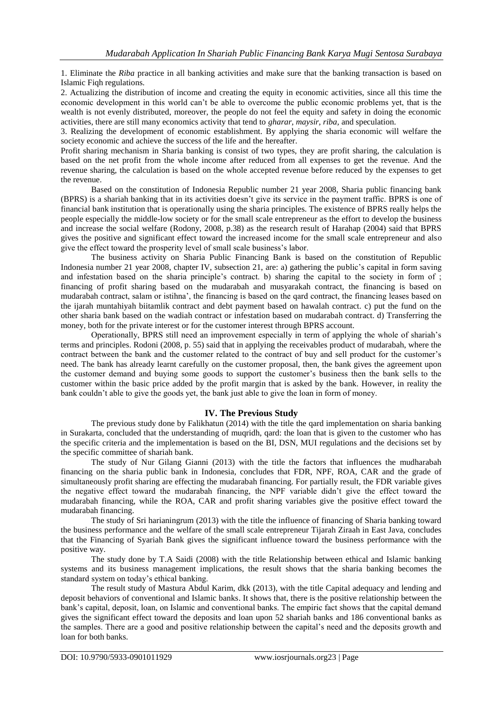1. Eliminate the *Riba* practice in all banking activities and make sure that the banking transaction is based on Islamic Fiqh regulations.

2. Actualizing the distribution of income and creating the equity in economic activities, since all this time the economic development in this world can't be able to overcome the public economic problems yet, that is the wealth is not evenly distributed, moreover, the people do not feel the equity and safety in doing the economic activities, there are still many economics activity that tend to *gharar, maysir, riba,* and speculation.

3. Realizing the development of economic establishment. By applying the sharia economic will welfare the society economic and achieve the success of the life and the hereafter.

Profit sharing mechanism in Sharia banking is consist of two types, they are profit sharing, the calculation is based on the net profit from the whole income after reduced from all expenses to get the revenue. And the revenue sharing, the calculation is based on the whole accepted revenue before reduced by the expenses to get the revenue.

Based on the constitution of Indonesia Republic number 21 year 2008, Sharia public financing bank (BPRS) is a shariah banking that in its activities doesn't give its service in the payment traffic. BPRS is one of financial bank institution that is operationally using the sharia principles. The existence of BPRS really helps the people especially the middle-low society or for the small scale entrepreneur as the effort to develop the business and increase the social welfare (Rodony, 2008, p.38) as the research result of Harahap (2004) said that BPRS gives the positive and significant effect toward the increased income for the small scale entrepreneur and also give the effect toward the prosperity level of small scale business's labor.

The business activity on Sharia Public Financing Bank is based on the constitution of Republic Indonesia number 21 year 2008, chapter IV, subsection 21, are: a) gathering the public's capital in form saving and infestation based on the sharia principle's contract. b) sharing the capital to the society in form of ; financing of profit sharing based on the mudarabah and musyarakah contract, the financing is based on mudarabah contract, salam or istihna', the financing is based on the qard contract, the financing leases based on the ijarah muntahiyah biitamlik contract and debt payment based on hawalah contract. c) put the fund on the other sharia bank based on the wadiah contract or infestation based on mudarabah contract. d) Transferring the money, both for the private interest or for the customer interest through BPRS account.

Operationally, BPRS still need an improvement especially in term of applying the whole of shariah's terms and principles. Rodoni (2008, p. 55) said that in applying the receivables product of mudarabah, where the contract between the bank and the customer related to the contract of buy and sell product for the customer's need. The bank has already learnt carefully on the customer proposal, then, the bank gives the agreement upon the customer demand and buying some goods to support the customer's business then the bank sells to the customer within the basic price added by the profit margin that is asked by the bank. However, in reality the bank couldn't able to give the goods yet, the bank just able to give the loan in form of money.

#### **IV. The Previous Study**

The previous study done by Falikhatun (2014) with the title the qard implementation on sharia banking in Surakarta, concluded that the understanding of muqridh, qard: the loan that is given to the customer who has the specific criteria and the implementation is based on the BI, DSN, MUI regulations and the decisions set by the specific committee of shariah bank.

The study of Nur Gilang Gianni (2013) with the title the factors that influences the mudharabah financing on the sharia public bank in Indonesia, concludes that FDR, NPF, ROA, CAR and the grade of simultaneously profit sharing are effecting the mudarabah financing. For partially result, the FDR variable gives the negative effect toward the mudarabah financing, the NPF variable didn't give the effect toward the mudarabah financing, while the ROA, CAR and profit sharing variables give the positive effect toward the mudarabah financing.

The study of Sri harianingrum (2013) with the title the influence of financing of Sharia banking toward the business performance and the welfare of the small scale entrepreneur Tijarah Ziraah in East Java, concludes that the Financing of Syariah Bank gives the significant influence toward the business performance with the positive way.

The study done by T.A Saidi (2008) with the title Relationship between ethical and Islamic banking systems and its business management implications, the result shows that the sharia banking becomes the standard system on today's ethical banking.

The result study of Mastura Abdul Karim, dkk (2013), with the title Capital adequacy and lending and deposit behaviors of conventional and Islamic banks. It shows that, there is the positive relationship between the bank's capital, deposit, loan, on Islamic and conventional banks. The empiric fact shows that the capital demand gives the significant effect toward the deposits and loan upon 52 shariah banks and 186 conventional banks as the samples. There are a good and positive relationship between the capital's need and the deposits growth and loan for both banks.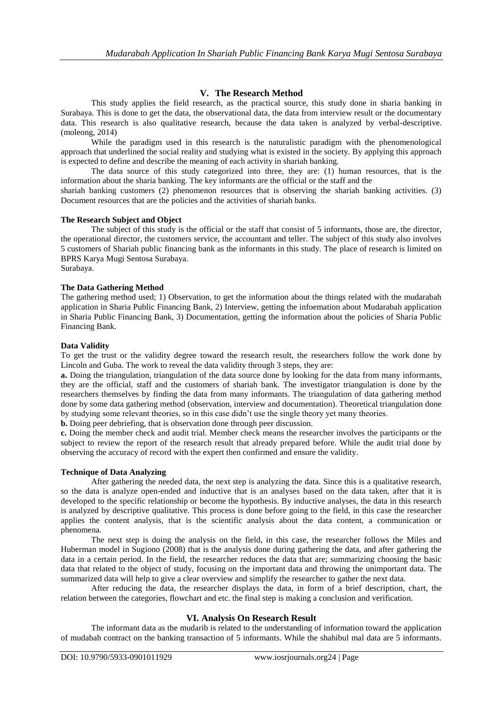# **V. The Research Method**

This study applies the field research, as the practical source, this study done in sharia banking in Surabaya. This is done to get the data, the observational data, the data from interview result or the documentary data. This research is also qualitative research, because the data taken is analyzed by verbal-descriptive. (moleong, 2014)

While the paradigm used in this research is the naturalistic paradigm with the phenomenological approach that underlined the social reality and studying what is existed in the society. By applying this approach is expected to define and describe the meaning of each activity in shariah banking.

The data source of this study categorized into three, they are: (1) human resources, that is the information about the sharia banking. The key informants are the official or the staff and the

shariah banking customers (2) phenomenon resources that is observing the shariah banking activities. (3) Document resources that are the policies and the activities of shariah banks.

## **The Research Subject and Object**

The subject of this study is the official or the staff that consist of 5 informants, those are, the director, the operational director, the customers service, the accountant and teller. The subject of this study also involves 5 customers of Shariah public financing bank as the informants in this study. The place of research is limited on BPRS Karya Mugi Sentosa Surabaya. Surabaya.

## **The Data Gathering Method**

The gathering method used; 1) Observation, to get the information about the things related with the mudarabah application in Sharia Public Financing Bank, 2) Interview, getting the infoemation about Mudarabah application in Sharia Public Financing Bank, 3) Documentation, getting the information about the policies of Sharia Public Financing Bank.

## **Data Validity**

To get the trust or the validity degree toward the research result, the researchers follow the work done by Lincoln and Guba. The work to reveal the data validity through 3 steps, they are:

**a.** Doing the triangulation, triangulation of the data source done by looking for the data from many informants, they are the official, staff and the customers of shariah bank. The investigator triangulation is done by the researchers themselves by finding the data from many informants. The triangulation of data gathering method done by some data gathering method (observation, interview and documentation). Theoretical triangulation done by studying some relevant theories, so in this case didn't use the single theory yet many theories.

**b.** Doing peer debriefing, that is observation done through peer discussion.

**c.** Doing the member check and audit trial. Member check means the researcher involves the participants or the subject to review the report of the research result that already prepared before. While the audit trial done by observing the accuracy of record with the expert then confirmed and ensure the validity.

#### **Technique of Data Analyzing**

After gathering the needed data, the next step is analyzing the data. Since this is a qualitative research, so the data is analyze open-ended and inductive that is an analyses based on the data taken, after that it is developed to the specific relationship or become the hypothesis. By inductive analyses, the data in this research is analyzed by descriptive qualitative. This process is done before going to the field, in this case the researcher applies the content analysis, that is the scientific analysis about the data content, a communication or phenomena.

The next step is doing the analysis on the field, in this case, the researcher follows the Miles and Huberman model in Sugiono (2008) that is the analysis done during gathering the data, and after gathering the data in a certain period. In the field, the researcher reduces the data that are; summarizing choosing the basic data that related to the object of study, focusing on the important data and throwing the unimportant data. The summarized data will help to give a clear overview and simplify the researcher to gather the next data.

After reducing the data, the researcher displays the data, in form of a brief description, chart, the relation between the categories, flowchart and etc. the final step is making a conclusion and verification.

# **VI. Analysis On Research Result**

The informant data as the mudarib is related to the understanding of information toward the application of mudabah contract on the banking transaction of 5 informants. While the shahibul mal data are 5 informants.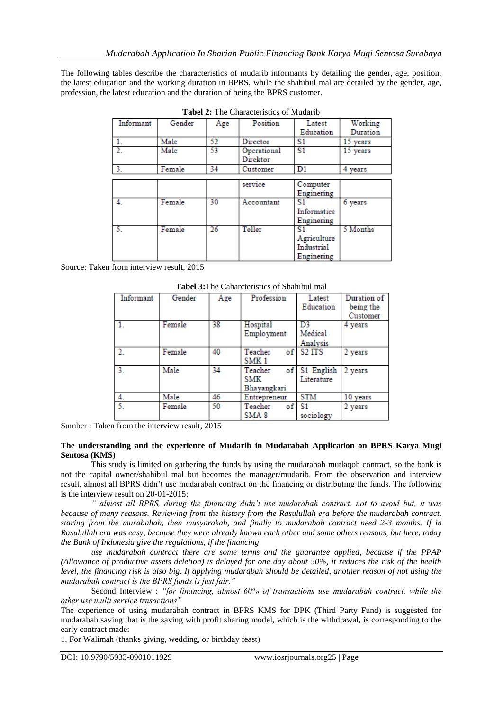The following tables describe the characteristics of mudarib informants by detailing the gender, age, position, the latest education and the working duration in BPRS, while the shahibul mal are detailed by the gender, age, profession, the latest education and the duration of being the BPRS customer.

| Informant | Gender | Age | Position    | Latest         | Working  |
|-----------|--------|-----|-------------|----------------|----------|
|           |        |     |             | Education      | Duration |
| 1.        | Male   | 52  | Director    | S1             | 15 years |
|           | Male   | 53  | Operational | S <sub>1</sub> | 15 years |
|           |        |     | Direktor    |                |          |
| 3.        | Female | 34  | Customer    | D1             | 4 years  |
|           |        |     |             |                |          |
|           |        |     | service     | Computer       |          |
|           |        |     |             | Enginering     |          |
| 4.        | Female | 30  | Accountant  | S1.            | 6 years  |
|           |        |     |             | Informatics    |          |
|           |        |     |             | Enginering     |          |
|           | Female | 26  | Teller      | S1             | 5 Months |
|           |        |     |             | Agriculture    |          |
|           |        |     |             | Industrial     |          |
|           |        |     |             | Enginering     |          |

**Tabel 2:** The Characteristics of Mudarib

Source: Taken from interview result, 2015

| Informant | Gender | Age | Profession       | Latest        | Duration of |
|-----------|--------|-----|------------------|---------------|-------------|
|           |        |     |                  | Education     | being the   |
|           |        |     |                  |               | Customer    |
|           | Female | 38  | Hospital         | D3            | 4 years     |
|           |        |     | Employment       | Medical       |             |
|           |        |     |                  | Analysis      |             |
|           | Female | 40  | Teacher          | of S2 ITS     | 2 years     |
|           |        |     | SMK <sub>1</sub> |               |             |
| 3.        | Male   | 34  | Teacher          | of S1 English | 2 years     |
|           |        |     | SMK              | Literature    |             |
|           |        |     | Bhavangkari      |               |             |
| 4.        | Male   | 46  | Entrepreneur     | <b>STM</b>    | 10 years    |
| 5.        | Female | 50  | of<br>Teacher    | S1            | 2 years     |
|           |        |     | SMA 8            | sociology     |             |

**Tabel 3:**The Caharcteristics of Shahibul mal

Sumber : Taken from the interview result, 2015

#### **The understanding and the experience of Mudarib in Mudarabah Application on BPRS Karya Mugi Sentosa (KMS)**

This study is limited on gathering the funds by using the mudarabah mutlaqoh contract, so the bank is not the capital owner/shahibul mal but becomes the manager/mudarib. From the observation and interview result, almost all BPRS didn't use mudarabah contract on the financing or distributing the funds. The following is the interview result on 20-01-2015:

*" almost all BPRS, during the financing didn"t use mudarabah contract, not to avoid but, it was because of many reasons. Reviewing from the history from the Rasulullah era before the mudarabah contract, staring from the murabahah, then musyarakah, and finally to mudarabah contract need 2-3 months. If in Rasulullah era was easy, because they were already known each other and some others reasons, but here, today the Bank of Indonesia give the regulations, if the financing*

*use mudarabah contract there are some terms and the guarantee applied, because if the PPAP (Allowance of productive assets deletion) is delayed for one day about 50%, it reduces the risk of the health level, the financing risk is also big. If applying mudarabah should be detailed, another reason of not using the mudarabah contract is the BPRS funds is just fair."*

Second Interview : *"for financing, almost 60% of transactions use mudarabah contract, while the other use multi service trnsactions"*

The experience of using mudarabah contract in BPRS KMS for DPK (Third Party Fund) is suggested for mudarabah saving that is the saving with profit sharing model, which is the withdrawal, is corresponding to the early contract made:

1. For Walimah (thanks giving, wedding, or birthday feast)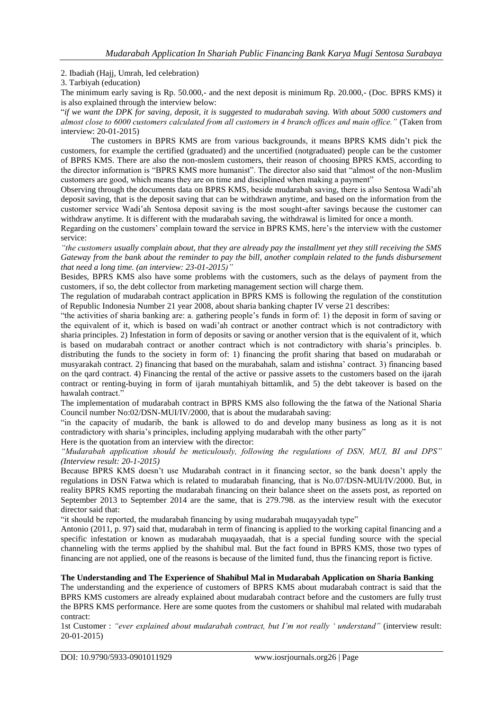## 2. Ibadiah (Hajj, Umrah, Ied celebration)

3. Tarbiyah (education)

The minimum early saving is Rp. 50.000,- and the next deposit is minimum Rp. 20.000,- (Doc. BPRS KMS) it is also explained through the interview below:

"*if we want the DPK for saving, deposit, it is suggested to mudarabah saving. With about 5000 customers and almost close to 6000 customers calculated from all customers in 4 branch offices and main office."* (Taken from interview: 20-01-2015)

The customers in BPRS KMS are from various backgrounds, it means BPRS KMS didn't pick the customers, for example the certified (graduated) and the uncertified (notgraduated) people can be the customer of BPRS KMS. There are also the non-moslem customers, their reason of choosing BPRS KMS, according to the director information is "BPRS KMS more humanist". The director also said that "almost of the non-Muslim customers are good, which means they are on time and disciplined when making a payment"

Observing through the documents data on BPRS KMS, beside mudarabah saving, there is also Sentosa Wadi'ah deposit saving, that is the deposit saving that can be withdrawn anytime, and based on the information from the customer service Wadi'ah Sentosa deposit saving is the most sought-after savings because the customer can withdraw anytime. It is different with the mudarabah saving, the withdrawal is limited for once a month.

Regarding on the customers' complain toward the service in BPRS KMS, here's the interview with the customer service:

*"the customers usually complain about, that they are already pay the installment yet they still receiving the SMS Gateway from the bank about the reminder to pay the bill, another complain related to the funds disbursement that need a long time. (an interview: 23-01-2015)"*

Besides, BPRS KMS also have some problems with the customers, such as the delays of payment from the customers, if so, the debt collector from marketing management section will charge them.

The regulation of mudarabah contract application in BPRS KMS is following the regulation of the constitution of Republic Indonesia Number 21 year 2008, about sharia banking chapter IV verse 21 describes:

"the activities of sharia banking are: a. gathering people's funds in form of: 1) the deposit in form of saving or the equivalent of it, which is based on wadi'ah contract or another contract which is not contradictory with sharia principles. 2) Infestation in form of deposits or saving or another version that is the equivalent of it, which is based on mudarabah contract or another contract which is not contradictory with sharia's principles. b. distributing the funds to the society in form of: 1) financing the profit sharing that based on mudarabah or musyarakah contract. 2) financing that based on the murabahah, salam and istishna' contract. 3) financing based on the qard contract. 4) Financing the rental of the active or passive assets to the customers based on the ijarah contract or renting-buying in form of ijarah muntahiyah bittamlik, and 5) the debt takeover is based on the hawalah contract."

The implementation of mudarabah contract in BPRS KMS also following the the fatwa of the National Sharia Council number No:02/DSN-MUI/IV/2000, that is about the mudarabah saving:

"in the capacity of mudarib, the bank is allowed to do and develop many business as long as it is not contradictory with sharia's principles, including applying mudarabah with the other party"

Here is the quotation from an interview with the director:

*"Mudarabah application should be meticulously, following the regulations of DSN, MUI, BI and DPS" (Interview result: 20-1-2015)*

Because BPRS KMS doesn't use Mudarabah contract in it financing sector, so the bank doesn't apply the regulations in DSN Fatwa which is related to mudarabah financing, that is No.07/DSN-MUI/IV/2000. But, in reality BPRS KMS reporting the mudarabah financing on their balance sheet on the assets post, as reported on September 2013 to September 2014 are the same, that is 279.798. as the interview result with the executor director said that:

"it should be reported, the mudarabah financing by using mudarabah muqayyadah type"

Antonio (2011, p. 97) said that, mudarabah in term of financing is applied to the working capital financing and a specific infestation or known as mudarabah muqayaadah, that is a special funding source with the special channeling with the terms applied by the shahibul mal. But the fact found in BPRS KMS, those two types of financing are not applied, one of the reasons is because of the limited fund, thus the financing report is fictive.

# **The Understanding and The Experience of Shahibul Mal in Mudarabah Application on Sharia Banking**

The understanding and the experience of customers of BPRS KMS about mudarabah contract is said that the BPRS KMS customers are already explained about mudarabah contract before and the customers are fully trust the BPRS KMS performance. Here are some quotes from the customers or shahibul mal related with mudarabah contract:

1st Customer : *"ever explained about mudarabah contract, but I"m not really " understand"* (interview result: 20-01-2015)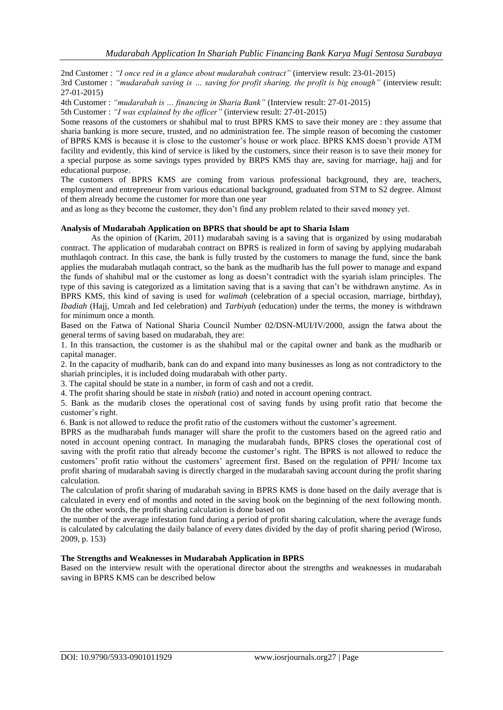2nd Customer : *"I once red in a glance about mudarabah contract"* (interview result: 23-01-2015)

3rd Customer : *"mudarabah saving is … saving for profit sharing, the profit is big enough"* (interview result: 27-01-2015)

4th Customer : *"mudarabah is … financing in Sharia Bank"* (Interview result: 27-01-2015)

5th Customer : *"I was explained by the officer"* (interview result: 27-01-2015)

Some reasons of the customers or shahibul mal to trust BPRS KMS to save their money are : they assume that sharia banking is more secure, trusted, and no administration fee. The simple reason of becoming the customer of BPRS KMS is because it is close to the customer's house or work place. BPRS KMS doesn't provide ATM facility and evidently, this kind of service is liked by the customers, since their reason is to save their money for a special purpose as some savings types provided by BRPS KMS thay are, saving for marriage, hajj and for educational purpose.

The customers of BPRS KMS are coming from various professional background, they are, teachers, employment and entrepreneur from various educational background, graduated from STM to S2 degree. Almost of them already become the customer for more than one year

and as long as they become the customer, they don't find any problem related to their saved money yet.

#### **Analysis of Mudarabah Application on BPRS that should be apt to Sharia Islam**

As the opinion of (Karim, 2011) mudarabah saving is a saving that is organized by using mudarabah contract. The application of mudarabah contract on BPRS is realized in form of saving by applying mudarabah muthlaqoh contract. In this case, the bank is fully trusted by the customers to manage the fund, since the bank applies the mudarabah mutlaqah contract, so the bank as the mudharib has the full power to manage and expand the funds of shahibul mal or the customer as long as doesn't contradict with the syariah islam principles. The type of this saving is categorized as a limitation saving that is a saving that can't be withdrawn anytime. As in BPRS KMS, this kind of saving is used for *walimah* (celebration of a special occasion, marriage, birthday), *Ibadiah* (Hajj, Umrah and Ied celebration) and *Tarbiyah* (education) under the terms, the money is withdrawn for minimum once a month.

Based on the Fatwa of National Sharia Council Number 02/DSN-MUI/IV/2000, assign the fatwa about the general terms of saving based on mudarabah, they are:

1. In this transaction, the customer is as the shahibul mal or the capital owner and bank as the mudharib or capital manager.

2. In the capacity of mudharib, bank can do and expand into many businesses as long as not contradictory to the shariah principles, it is included doing mudarabah with other party.

3. The capital should be state in a number, in form of cash and not a credit.

4. The profit sharing should be state in *nisbah* (ratio) and noted in account opening contract.

5. Bank as the mudarib closes the operational cost of saving funds by using profit ratio that become the customer's right.

6. Bank is not allowed to reduce the profit ratio of the customers without the customer's agreement.

BPRS as the mudharabah funds manager will share the profit to the customers based on the agreed ratio and noted in account opening contract. In managing the mudarabah funds, BPRS closes the operational cost of saving with the profit ratio that already become the customer's right. The BPRS is not allowed to reduce the customers' profit ratio without the customers' agreement first. Based on the regulation of PPH/ Income tax profit sharing of mudarabah saving is directly charged in the mudarabah saving account during the profit sharing calculation.

The calculation of profit sharing of mudarabah saving in BPRS KMS is done based on the daily average that is calculated in every end of months and noted in the saving book on the beginning of the next following month. On the other words, the profit sharing calculation is done based on

the number of the average infestation fund during a period of profit sharing calculation, where the average funds is calculated by calculating the daily balance of every dates divided by the day of profit sharing period (Wiroso, 2009, p. 153)

#### **The Strengths and Weaknesses in Mudarabah Application in BPRS**

Based on the interview result with the operational director about the strengths and weaknesses in mudarabah saving in BPRS KMS can be described below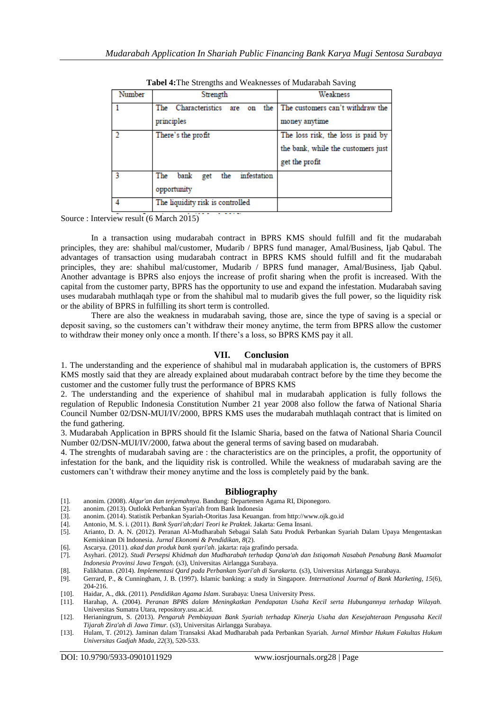| <b>Tabel 4:</b> The Strengths and Weaknesses of Mudaraban Saving |                                          |                                    |  |
|------------------------------------------------------------------|------------------------------------------|------------------------------------|--|
| Number                                                           | Strength                                 | Weakness                           |  |
|                                                                  | The Characteristics<br>the<br>are<br>on  | The customers can't withdraw the   |  |
|                                                                  | principles                               | money anytime                      |  |
|                                                                  | There's the profit                       | The loss risk, the loss is paid by |  |
|                                                                  |                                          | the bank, while the customers just |  |
|                                                                  |                                          | get the profit                     |  |
|                                                                  | infestation<br>bank<br>the<br>The<br>get |                                    |  |
|                                                                  | opportunity                              |                                    |  |
|                                                                  | The liquidity risk is controlled         |                                    |  |

**Tabel 4:**The Strengths and Weaknesses of Mudarabah Saving

Source : Interview result (6 March 2015)

In a transaction using mudarabah contract in BPRS KMS should fulfill and fit the mudarabah principles, they are: shahibul mal/customer, Mudarib / BPRS fund manager, Amal/Business, Ijab Qabul. The advantages of transaction using mudarabah contract in BPRS KMS should fulfill and fit the mudarabah principles, they are: shahibul mal/customer, Mudarib / BPRS fund manager, Amal/Business, Ijab Qabul. Another advantage is BPRS also enjoys the increase of profit sharing when the profit is increased. With the capital from the customer party, BPRS has the opportunity to use and expand the infestation. Mudarabah saving uses mudarabah muthlaqah type or from the shahibul mal to mudarib gives the full power, so the liquidity risk or the ability of BPRS in fulfilling its short term is controlled.

There are also the weakness in mudarabah saving, those are, since the type of saving is a special or deposit saving, so the customers can't withdraw their money anytime, the term from BPRS allow the customer to withdraw their money only once a month. If there's a loss, so BPRS KMS pay it all.

#### **VII. Conclusion**

1. The understanding and the experience of shahibul mal in mudarabah application is, the customers of BPRS KMS mostly said that they are already explained about mudarabah contract before by the time they become the customer and the customer fully trust the performance of BPRS KMS

2. The understanding and the experience of shahibul mal in mudarabah application is fully follows the regulation of Republic Indonesia Constitution Number 21 year 2008 also follow the fatwa of National Sharia Council Number 02/DSN-MUI/IV/2000, BPRS KMS uses the mudarabah muthlaqah contract that is limited on the fund gathering.

3. Mudarabah Application in BPRS should fit the Islamic Sharia, based on the fatwa of National Sharia Council Number 02/DSN-MUI/IV/2000, fatwa about the general terms of saving based on mudarabah.

4. The strenghts of mudarabah saving are : the characteristics are on the principles, a profit, the opportunity of infestation for the bank, and the liquidity risk is controlled. While the weakness of mudarabah saving are the customers can't withdraw their money anytime and the loss is completely paid by the bank.

#### **Bibliography**

- [1]. anonim. (2008). *Alqur'an dan terjemahnya*. Bandung: Departemen Agama RI, Diponegoro.
- [2]. anonim. (2013). Outlokk Perbankan Syari'ah from Bank Indonesia
- [3]. anonim. (2014). Statistik Perbankan Syariah-Otoritas Jasa Keuangan. from http://www.ojk.go.id
- [4]. Antonio, M. S. i. (2011). *Bank Syari'ah;dari Teori ke Praktek*. Jakarta: Gema Insani.
- [5]. Arianto, D. A. N. (2012). Peranan Al-Mudharabah Sebagai Salah Satu Produk Perbankan Syariah Dalam Upaya Mengentaskan Kemiskinan Di Indonesia. *Jurnal Ekonomi & Pendidikan, 8*(2).
- [6]. Ascarya. (2011). *akad dan produk bank syari'ah*. jakarta: raja grafindo persada.
- [7]. Asyhari. (2012). *Studi Persepsi Khidmah dan Mudharabah terhadap Qana'ah dan Istiqomah Nasabah Penabung Bank Muamalat Indonesia Provinsi Jawa Tengah.* (s3), Universitas Airlangga Surabaya.
- [8]. Falikhatun. (2014). *Implementasi Qard pada Perbankan Syari'ah di Surakarta.* (s3), Universitas Airlangga Surabaya.
- [9]. Gerrard, P., & Cunningham, J. B. (1997). Islamic banking: a study in Singapore. *International Journal of Bank Marketing, 15*(6), 204-216.
- [10]. Haidar, A., dkk. (2011). *Pendidikan Agama Islam*. Surabaya: Unesa University Press.
- [11]. Harahap, A. (2004). *Peranan BPRS dalam Meningkatkan Pendapatan Usaha Kecil serta Hubungannya terhadap Wilayah.*  Universitas Sumatra Utara, repository.usu.ac.id.
- [12]. Herianingrum, S. (2013). *Pengaruh Pembiayaan Bank Syariah terhadap Kinerja Usaha dan Kesejahteraan Pengusaha Kecil Tijarah Zira'ah di Jawa Timur.* (s3), Universitas Airlangga Surabaya.
- [13]. Hulam, T. (2012). Jaminan dalam Transaksi Akad Mudharabah pada Perbankan Syariah. *Jurnal Mimbar Hukum Fakultas Hukum Universitas Gadjah Mada, 22*(3), 520-533.